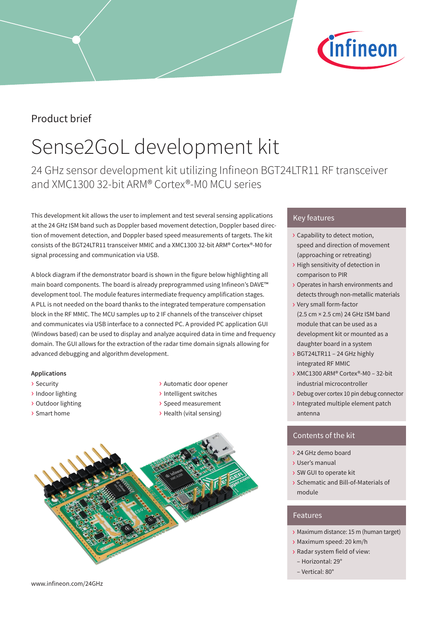

## Product brief

# Sense2GoL development kit

24 GHz sensor development kit utilizing Infineon BGT24LTR11 RF transceiver and XMC1300 32-bit ARM® Cortex®-M0 MCU series

This development kit allows the user to implement and test several sensing applications at the 24 GHz ISM band such as Doppler based movement detection, Doppler based direction of movement detection, and Doppler based speed measurements of targets. The kit consists of the BGT24LTR11 transceiver MMIC and a XMC1300 32-bit ARM® Cortex®-M0 for signal processing and communication via USB.

A block diagram if the demonstrator board is shown in the figure below highlighting all main board components. The board is already preprogrammed using Infineon's DAVE™ development tool. The module features intermediate frequency amplification stages. A PLL is not needed on the board thanks to the integrated temperature compensation block in the RF MMIC. The MCU samples up to 2 IF channels of the transceiver chipset and communicates via USB interface to a connected PC. A provided PC application GUI (Windows based) can be used to display and analyze acquired data in time and frequency domain. The GUI allows for the extraction of the radar time domain signals allowing for advanced debugging and algorithm development.

### **Applications**

- › Security
- › Indoor lighting
- › Outdoor lighting
- › Smart home
- › Automatic door opener
- › Intelligent switches
- › Speed measurement
- › Health (vital sensing)



## Key features

- › Capability to detect motion, speed and direction of movement (approaching or retreating)
- › High sensitivity of detection in comparison to PIR
- › Operates in harsh environments and detects through non-metallic materials
- › Very small form-factor (2.5 cm × 2.5 cm) 24 GHz ISM band module that can be used as a development kit or mounted as a daughter board in a system
- › BGT24LTR11 24 GHz highly integrated RF MMIC
- › XMC1300 ARM® Cortex®-M0 32-bit industrial microcontroller
- › Debug over cortex 10 pin debug connector
- › Integrated multiple element patch antenna

### Contents of the kit

- › 24 GHz demo board
- › User's manual
- › SW GUI to operate kit
- › Schematic and Bill-of-Materials of module

### Features

- › Maximum distance: 15 m (human target)
- › Maximum speed: 20 km/h
- › Radar system field of view: – Horizontal: 29°
- Vertical: 80°